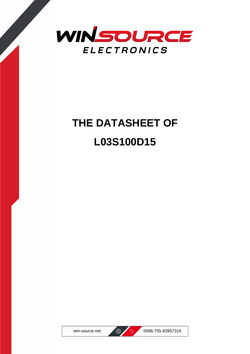

# **THE DATASHEET OF L03S100D15**



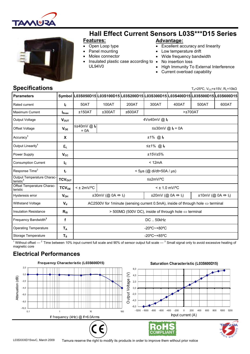



# Hall Effect Current Sensors L03S\*\*\*D15 Series

#### Features:

- Open Loop type
- Panel mounting
- Molex connector
- Insulated plastic case according to UL94V0
- Advantage: Excellent accuracy and linearity
- Low temperature drift
- Wide frequency bandwidth
- No insertion loss
	- High Immunity To External Interference
	- Current overload capability

#### Specifications

T<sub>A</sub>=25°C, V<sub>CC</sub>= $\pm$ 15V, R<sub>L</sub>=10kΩ

| <b>Parameters</b>                                   |                          |                                                                                                 |                                                                                                                                                                      |        |         |       | Symbol  L03S050D15 L03S100D15 L03S200D15 L03S300D15 L03S400D15 L03S500D15 L03S600D15 |       |
|-----------------------------------------------------|--------------------------|-------------------------------------------------------------------------------------------------|----------------------------------------------------------------------------------------------------------------------------------------------------------------------|--------|---------|-------|--------------------------------------------------------------------------------------|-------|
| Rated current                                       | I <sub>f</sub>           | 50AT                                                                                            | 100AT                                                                                                                                                                | 200AT  | 300AT   | 400AT | 500AT                                                                                | 600AT |
| Maximum Current                                     | $I_{\text{fmax}}$        | ±150AT                                                                                          | ±300AT                                                                                                                                                               | ±600AT | >±700AT |       |                                                                                      |       |
| <b>Output Voltage</b>                               | $V_{\text{OUT}}$         | 4V±40mV @ If                                                                                    |                                                                                                                                                                      |        |         |       |                                                                                      |       |
| Offset Voltage                                      | $V_{OE}$                 | ≤±40mV @ I <sub>f</sub><br>$= 0A$                                                               | ≤±30mV @ $I_f$ = 0A                                                                                                                                                  |        |         |       |                                                                                      |       |
| Accuracy <sup>1</sup>                               | X                        | $±1\%$ @ $I_f$                                                                                  |                                                                                                                                                                      |        |         |       |                                                                                      |       |
| Output Linearity <sup>1</sup>                       | $\epsilon_{L}$           | $≤±1\%$ @ $I_f$                                                                                 |                                                                                                                                                                      |        |         |       |                                                                                      |       |
| Power Supply                                        | $V_{\rm CC}$             | ±15V±5%                                                                                         |                                                                                                                                                                      |        |         |       |                                                                                      |       |
| <b>Consumption Current</b>                          | $I_{\rm C}$              | < 12mA                                                                                          |                                                                                                                                                                      |        |         |       |                                                                                      |       |
| Response Time <sup>2</sup>                          | $t_{r}$                  | $<$ 5µs (@ di/dt=50A / µs)                                                                      |                                                                                                                                                                      |        |         |       |                                                                                      |       |
| Output Temperature Charac-<br>teristic <sup>1</sup> | <b>TCV<sub>OUT</sub></b> | ≤±2mV/°C                                                                                        |                                                                                                                                                                      |        |         |       |                                                                                      |       |
| Offset Temperature Charac-<br>teristic              | TCV <sub>OE</sub>        | $<$ ± 2mV/°C<br>$<$ ± 1.0 mV/°C                                                                 |                                                                                                                                                                      |        |         |       |                                                                                      |       |
| Hysteresis error                                    | $V_{OH}$                 |                                                                                                 | $\pm 30$ mV (@ 0A $\Leftrightarrow$ I <sub>f</sub> )<br>$\pm 20$ mV (@ 0A $\Leftrightarrow$ I <sub>f</sub> )<br>$\pm 10$ mV (@ 0A $\Leftrightarrow$ I <sub>f</sub> ) |        |         |       |                                                                                      |       |
| <b>Withstand Voltage</b>                            | $V_{d}$                  | AC2500V for 1 minute (sensing current 0.5mA), inside of through hole $\Leftrightarrow$ terminal |                                                                                                                                                                      |        |         |       |                                                                                      |       |
| <b>Insulation Resistance</b>                        | $R_{\rm IS}$             | > 500MΩ (500V DC), inside of through hole $\Leftrightarrow$ terminal                            |                                                                                                                                                                      |        |         |       |                                                                                      |       |
| Frequency Bandwidth <sup>3</sup>                    | f                        | <b>DC50kHz</b>                                                                                  |                                                                                                                                                                      |        |         |       |                                                                                      |       |
| <b>Operating Temperature</b>                        | $T_A$                    | $-20^{\circ}$ C $-+80^{\circ}$ C                                                                |                                                                                                                                                                      |        |         |       |                                                                                      |       |
| Storage Temperature                                 | $T_S$                    | $-20^{\circ}$ C $-+85^{\circ}$ C                                                                |                                                                                                                                                                      |        |         |       |                                                                                      |       |

 $^1$  Without offset —  $^2$  Time between 10% input current full scale and 90% of sensor output full scale —  $^3$  Small signal only to avoid excessive heating of magnetic core

#### Electrical Performances